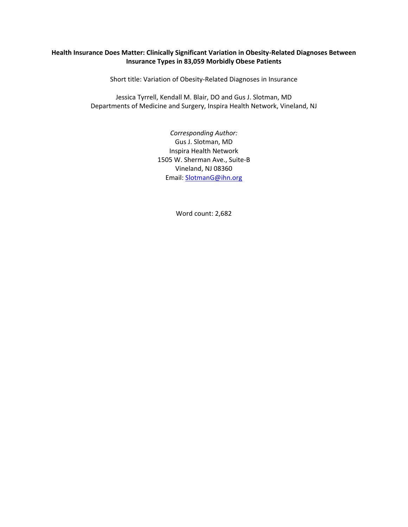# **Health Insurance Does Matter: Clinically Significant Variation in Obesity-Related Diagnoses Between Insurance Types in 83,059 Morbidly Obese Patients**

Short title: Variation of Obesity-Related Diagnoses in Insurance

Jessica Tyrrell, Kendall M. Blair, DO and Gus J. Slotman, MD Departments of Medicine and Surgery, Inspira Health Network, Vineland, NJ

> *Corresponding Author:* Gus J. Slotman, MD Inspira Health Network 1505 W. Sherman Ave., Suite-B Vineland, NJ 08360 Email: [SlotmanG@ihn.org](mailto:SlotmanG@ihn.org)

> > Word count: 2,682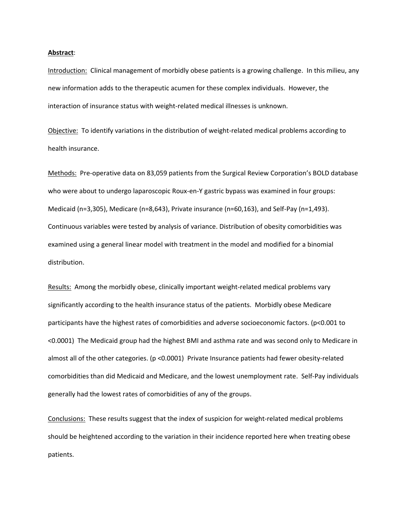#### **Abstract**:

Introduction: Clinical management of morbidly obese patients is a growing challenge. In this milieu, any new information adds to the therapeutic acumen for these complex individuals. However, the interaction of insurance status with weight-related medical illnesses is unknown.

Objective: To identify variations in the distribution of weight-related medical problems according to health insurance.

Methods: Pre-operative data on 83,059 patients from the Surgical Review Corporation's BOLD database who were about to undergo laparoscopic Roux-en-Y gastric bypass was examined in four groups: Medicaid (n=3,305), Medicare (n=8,643), Private insurance (n=60,163), and Self-Pay (n=1,493). Continuous variables were tested by analysis of variance. Distribution of obesity comorbidities was examined using a general linear model with treatment in the model and modified for a binomial distribution.

Results: Among the morbidly obese, clinically important weight-related medical problems vary significantly according to the health insurance status of the patients. Morbidly obese Medicare participants have the highest rates of comorbidities and adverse socioeconomic factors. (p<0.001 to <0.0001) The Medicaid group had the highest BMI and asthma rate and was second only to Medicare in almost all of the other categories. (p <0.0001) Private Insurance patients had fewer obesity-related comorbidities than did Medicaid and Medicare, and the lowest unemployment rate. Self-Pay individuals generally had the lowest rates of comorbidities of any of the groups.

Conclusions: These results suggest that the index of suspicion for weight-related medical problems should be heightened according to the variation in their incidence reported here when treating obese patients.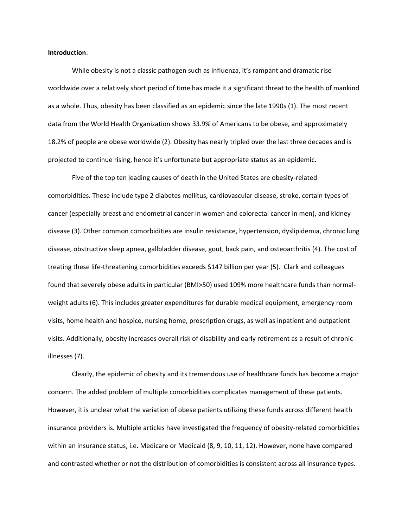### **Introduction**:

While obesity is not a classic pathogen such as influenza, it's rampant and dramatic rise worldwide over a relatively short period of time has made it a significant threat to the health of mankind as a whole. Thus, obesity has been classified as an epidemic since the late 1990s (1). The most recent data from the World Health Organization shows 33.9% of Americans to be obese, and approximately 18.2% of people are obese worldwide (2). Obesity has nearly tripled over the last three decades and is projected to continue rising, hence it's unfortunate but appropriate status as an epidemic.

Five of the top ten leading causes of death in the United States are obesity-related comorbidities. These include type 2 diabetes mellitus, cardiovascular disease, stroke, certain types of cancer (especially breast and endometrial cancer in women and colorectal cancer in men), and kidney disease (3). Other common comorbidities are insulin resistance, hypertension, dyslipidemia, chronic lung disease, obstructive sleep apnea, gallbladder disease, gout, back pain, and osteoarthritis (4). The cost of treating these life-threatening comorbidities exceeds \$147 billion per year (5). Clark and colleagues found that severely obese adults in particular (BMI>50) used 109% more healthcare funds than normalweight adults (6). This includes greater expenditures for durable medical equipment, emergency room visits, home health and hospice, nursing home, prescription drugs, as well as inpatient and outpatient visits. Additionally, obesity increases overall risk of disability and early retirement as a result of chronic illnesses (7).

Clearly, the epidemic of obesity and its tremendous use of healthcare funds has become a major concern. The added problem of multiple comorbidities complicates management of these patients. However, it is unclear what the variation of obese patients utilizing these funds across different health insurance providers is. Multiple articles have investigated the frequency of obesity-related comorbidities within an insurance status, i.e. Medicare or Medicaid (8, 9, 10, 11, 12). However, none have compared and contrasted whether or not the distribution of comorbidities is consistent across all insurance types.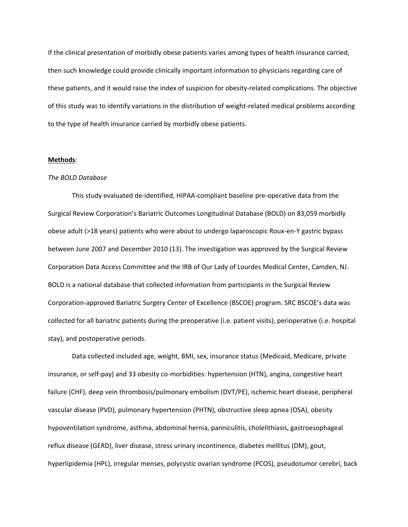If the clinical presentation of morbidly obese patients varies among types of health insurance carried, then such knowledge could provide clinically important information to physicians regarding care of these patients, and it would raise the index of suspicion for obesity-related complications. The objective of this study was to identify variations in the distribution of weight-related medical problems according to the type of health insurance carried by morbidly obese patients.

### **Methods***:*

### *The BOLD Database*

This study evaluated de-identified, HIPAA-compliant baseline pre-operative data from the Surgical Review Corporation's Bariatric Outcomes Longitudinal Database (BOLD) on 83,059 morbidly obese adult (>18 years) patients who were about to undergo laparoscopic Roux-en-Y gastric bypass between June 2007 and December 2010 (13). The investigation was approved by the Surgical Review Corporation Data Access Committee and the IRB of Our Lady of Lourdes Medical Center, Camden, NJ. BOLD is a national database that collected information from participants in the Surgical Review Corporation-approved Bariatric Surgery Center of Excellence (BSCOE) program. SRC BSCOE's data was collected for all bariatric patients during the preoperative (i.e. patient visits), perioperative (i.e. hospital stay), and postoperative periods.

Data collected included age, weight, BMI, sex, insurance status (Medicaid, Medicare, private insurance, or self-pay) and 33 obesity co-morbidities: hypertension (HTN), angina, congestive heart failure (CHF), deep vein thrombosis/pulmonary embolism (DVT/PE), ischemic heart disease, peripheral vascular disease (PVD), pulmonary hypertension (PHTN), obstructive sleep apnea (OSA), obesity hypoventilation syndrome, asthma, abdominal hernia, panniculitis, cholelithiasis, gastroesophageal reflux disease (GERD), liver disease, stress urinary incontinence, diabetes mellitus (DM), gout, hyperlipidemia (HPL), irregular menses, polycystic ovarian syndrome (PCOS), pseudotumor cerebri, back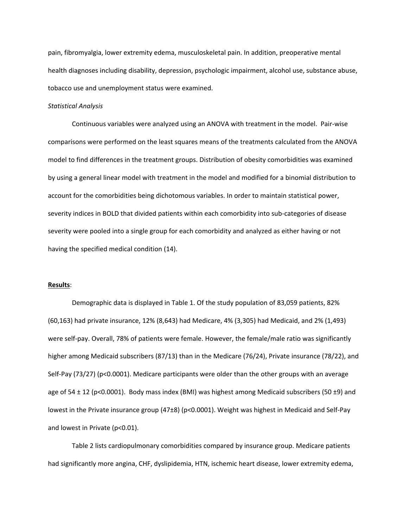pain, fibromyalgia, lower extremity edema, musculoskeletal pain. In addition, preoperative mental health diagnoses including disability, depression, psychologic impairment, alcohol use, substance abuse, tobacco use and unemployment status were examined.

### *Statistical Analysis*

Continuous variables were analyzed using an ANOVA with treatment in the model. Pair-wise comparisons were performed on the least squares means of the treatments calculated from the ANOVA model to find differences in the treatment groups. Distribution of obesity comorbidities was examined by using a general linear model with treatment in the model and modified for a binomial distribution to account for the comorbidities being dichotomous variables. In order to maintain statistical power, severity indices in BOLD that divided patients within each comorbidity into sub-categories of disease severity were pooled into a single group for each comorbidity and analyzed as either having or not having the specified medical condition (14).

# **Results**:

Demographic data is displayed in Table 1. Of the study population of 83,059 patients, 82% (60,163) had private insurance, 12% (8,643) had Medicare, 4% (3,305) had Medicaid, and 2% (1,493) were self-pay. Overall, 78% of patients were female. However, the female/male ratio was significantly higher among Medicaid subscribers (87/13) than in the Medicare (76/24), Private insurance (78/22), and Self-Pay (73/27) (p<0.0001). Medicare participants were older than the other groups with an average age of 54  $\pm$  12 (p<0.0001). Body mass index (BMI) was highest among Medicaid subscribers (50  $\pm$ 9) and lowest in the Private insurance group (47±8) (p<0.0001). Weight was highest in Medicaid and Self-Pay and lowest in Private (p<0.01).

Table 2 lists cardiopulmonary comorbidities compared by insurance group. Medicare patients had significantly more angina, CHF, dyslipidemia, HTN, ischemic heart disease, lower extremity edema,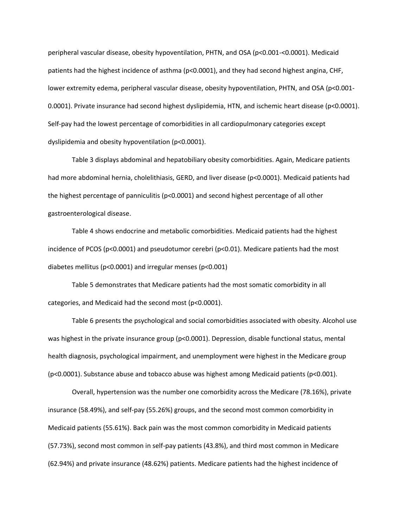peripheral vascular disease, obesity hypoventilation, PHTN, and OSA (p<0.001-<0.0001). Medicaid patients had the highest incidence of asthma (p<0.0001), and they had second highest angina, CHF, lower extremity edema, peripheral vascular disease, obesity hypoventilation, PHTN, and OSA (p<0.001- 0.0001). Private insurance had second highest dyslipidemia, HTN, and ischemic heart disease (p<0.0001). Self-pay had the lowest percentage of comorbidities in all cardiopulmonary categories except dyslipidemia and obesity hypoventilation (p<0.0001).

Table 3 displays abdominal and hepatobiliary obesity comorbidities. Again, Medicare patients had more abdominal hernia, cholelithiasis, GERD, and liver disease (p<0.0001). Medicaid patients had the highest percentage of panniculitis (p<0.0001) and second highest percentage of all other gastroenterological disease.

Table 4 shows endocrine and metabolic comorbidities. Medicaid patients had the highest incidence of PCOS (p<0.0001) and pseudotumor cerebri (p<0.01). Medicare patients had the most diabetes mellitus (p<0.0001) and irregular menses (p<0.001)

Table 5 demonstrates that Medicare patients had the most somatic comorbidity in all categories, and Medicaid had the second most (p<0.0001).

Table 6 presents the psychological and social comorbidities associated with obesity. Alcohol use was highest in the private insurance group (p<0.0001). Depression, disable functional status, mental health diagnosis, psychological impairment, and unemployment were highest in the Medicare group (p<0.0001). Substance abuse and tobacco abuse was highest among Medicaid patients (p<0.001).

Overall, hypertension was the number one comorbidity across the Medicare (78.16%), private insurance (58.49%), and self-pay (55.26%) groups, and the second most common comorbidity in Medicaid patients (55.61%). Back pain was the most common comorbidity in Medicaid patients (57.73%), second most common in self-pay patients (43.8%), and third most common in Medicare (62.94%) and private insurance (48.62%) patients. Medicare patients had the highest incidence of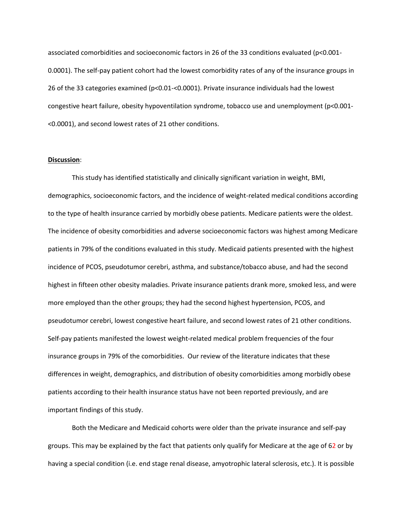associated comorbidities and socioeconomic factors in 26 of the 33 conditions evaluated (p<0.001- 0.0001). The self-pay patient cohort had the lowest comorbidity rates of any of the insurance groups in 26 of the 33 categories examined (p<0.01-<0.0001). Private insurance individuals had the lowest congestive heart failure, obesity hypoventilation syndrome, tobacco use and unemployment (p<0.001- <0.0001), and second lowest rates of 21 other conditions.

### **Discussion**:

This study has identified statistically and clinically significant variation in weight, BMI, demographics, socioeconomic factors, and the incidence of weight-related medical conditions according to the type of health insurance carried by morbidly obese patients. Medicare patients were the oldest. The incidence of obesity comorbidities and adverse socioeconomic factors was highest among Medicare patients in 79% of the conditions evaluated in this study. Medicaid patients presented with the highest incidence of PCOS, pseudotumor cerebri, asthma, and substance/tobacco abuse, and had the second highest in fifteen other obesity maladies. Private insurance patients drank more, smoked less, and were more employed than the other groups; they had the second highest hypertension, PCOS, and pseudotumor cerebri, lowest congestive heart failure, and second lowest rates of 21 other conditions. Self-pay patients manifested the lowest weight-related medical problem frequencies of the four insurance groups in 79% of the comorbidities. Our review of the literature indicates that these differences in weight, demographics, and distribution of obesity comorbidities among morbidly obese patients according to their health insurance status have not been reported previously, and are important findings of this study.

Both the Medicare and Medicaid cohorts were older than the private insurance and self-pay groups. This may be explained by the fact that patients only qualify for Medicare at the age of 62 or by having a special condition (i.e. end stage renal disease, amyotrophic lateral sclerosis, etc.). It is possible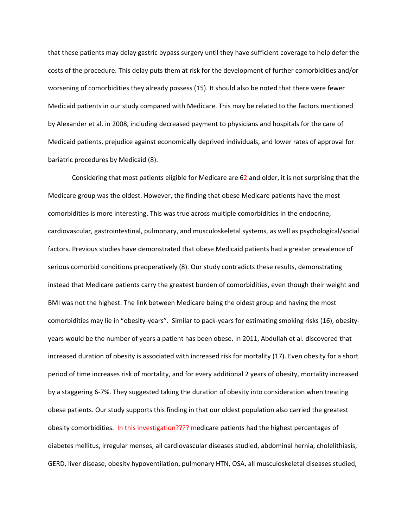that these patients may delay gastric bypass surgery until they have sufficient coverage to help defer the costs of the procedure. This delay puts them at risk for the development of further comorbidities and/or worsening of comorbidities they already possess (15). It should also be noted that there were fewer Medicaid patients in our study compared with Medicare. This may be related to the factors mentioned by Alexander et al. in 2008, including decreased payment to physicians and hospitals for the care of Medicaid patients, prejudice against economically deprived individuals, and lower rates of approval for bariatric procedures by Medicaid (8).

Considering that most patients eligible for Medicare are 62 and older, it is not surprising that the Medicare group was the oldest. However, the finding that obese Medicare patients have the most comorbidities is more interesting. This was true across multiple comorbidities in the endocrine, cardiovascular, gastrointestinal, pulmonary, and musculoskeletal systems, as well as psychological/social factors. Previous studies have demonstrated that obese Medicaid patients had a greater prevalence of serious comorbid conditions preoperatively (8). Our study contradicts these results, demonstrating instead that Medicare patients carry the greatest burden of comorbidities, even though their weight and BMI was not the highest. The link between Medicare being the oldest group and having the most comorbidities may lie in "obesity-years". Similar to pack-years for estimating smoking risks (16), obesityyears would be the number of years a patient has been obese. In 2011, Abdullah et al. discovered that increased duration of obesity is associated with increased risk for mortality (17). Even obesity for a short period of time increases risk of mortality, and for every additional 2 years of obesity, mortality increased by a staggering 6-7%. They suggested taking the duration of obesity into consideration when treating obese patients. Our study supports this finding in that our oldest population also carried the greatest obesity comorbidities. In this investigation???? medicare patients had the highest percentages of diabetes mellitus, irregular menses, all cardiovascular diseases studied, abdominal hernia, cholelithiasis, GERD, liver disease, obesity hypoventilation, pulmonary HTN, OSA, all musculoskeletal diseases studied,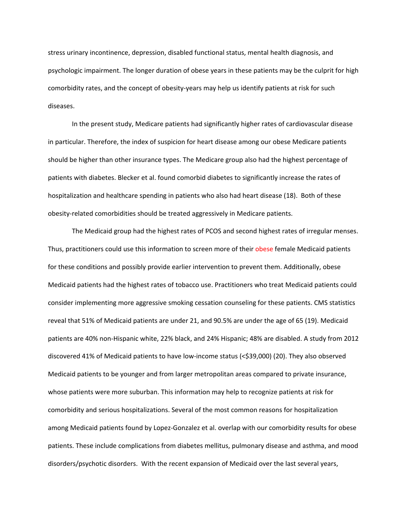stress urinary incontinence, depression, disabled functional status, mental health diagnosis, and psychologic impairment. The longer duration of obese years in these patients may be the culprit for high comorbidity rates, and the concept of obesity-years may help us identify patients at risk for such diseases.

In the present study, Medicare patients had significantly higher rates of cardiovascular disease in particular. Therefore, the index of suspicion for heart disease among our obese Medicare patients should be higher than other insurance types. The Medicare group also had the highest percentage of patients with diabetes. Blecker et al. found comorbid diabetes to significantly increase the rates of hospitalization and healthcare spending in patients who also had heart disease (18). Both of these obesity-related comorbidities should be treated aggressively in Medicare patients.

The Medicaid group had the highest rates of PCOS and second highest rates of irregular menses. Thus, practitioners could use this information to screen more of their obese female Medicaid patients for these conditions and possibly provide earlier intervention to prevent them. Additionally, obese Medicaid patients had the highest rates of tobacco use. Practitioners who treat Medicaid patients could consider implementing more aggressive smoking cessation counseling for these patients. CMS statistics reveal that 51% of Medicaid patients are under 21, and 90.5% are under the age of 65 (19). Medicaid patients are 40% non-Hispanic white, 22% black, and 24% Hispanic; 48% are disabled. A study from 2012 discovered 41% of Medicaid patients to have low-income status (<\$39,000) (20). They also observed Medicaid patients to be younger and from larger metropolitan areas compared to private insurance, whose patients were more suburban. This information may help to recognize patients at risk for comorbidity and serious hospitalizations. Several of the most common reasons for hospitalization among Medicaid patients found by Lopez-Gonzalez et al. overlap with our comorbidity results for obese patients. These include complications from diabetes mellitus, pulmonary disease and asthma, and mood disorders/psychotic disorders. With the recent expansion of Medicaid over the last several years,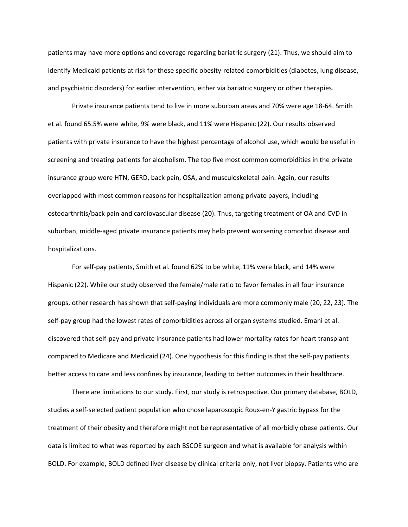patients may have more options and coverage regarding bariatric surgery (21). Thus, we should aim to identify Medicaid patients at risk for these specific obesity-related comorbidities (diabetes, lung disease, and psychiatric disorders) for earlier intervention, either via bariatric surgery or other therapies.

Private insurance patients tend to live in more suburban areas and 70% were age 18-64. Smith et al. found 65.5% were white, 9% were black, and 11% were Hispanic (22). Our results observed patients with private insurance to have the highest percentage of alcohol use, which would be useful in screening and treating patients for alcoholism. The top five most common comorbidities in the private insurance group were HTN, GERD, back pain, OSA, and musculoskeletal pain. Again, our results overlapped with most common reasons for hospitalization among private payers, including osteoarthritis/back pain and cardiovascular disease (20). Thus, targeting treatment of OA and CVD in suburban, middle-aged private insurance patients may help prevent worsening comorbid disease and hospitalizations.

For self-pay patients, Smith et al. found 62% to be white, 11% were black, and 14% were Hispanic (22). While our study observed the female/male ratio to favor females in all four insurance groups, other research has shown that self-paying individuals are more commonly male (20, 22, 23). The self-pay group had the lowest rates of comorbidities across all organ systems studied. Emani et al. discovered that self-pay and private insurance patients had lower mortality rates for heart transplant compared to Medicare and Medicaid (24). One hypothesis for this finding is that the self-pay patients better access to care and less confines by insurance, leading to better outcomes in their healthcare.

There are limitations to our study. First, our study is retrospective. Our primary database, BOLD, studies a self-selected patient population who chose laparoscopic Roux-en-Y gastric bypass for the treatment of their obesity and therefore might not be representative of all morbidly obese patients. Our data is limited to what was reported by each BSCOE surgeon and what is available for analysis within BOLD. For example, BOLD defined liver disease by clinical criteria only, not liver biopsy. Patients who are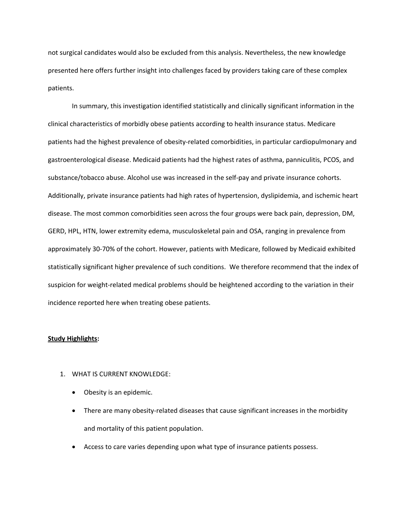not surgical candidates would also be excluded from this analysis. Nevertheless, the new knowledge presented here offers further insight into challenges faced by providers taking care of these complex patients.

In summary, this investigation identified statistically and clinically significant information in the clinical characteristics of morbidly obese patients according to health insurance status. Medicare patients had the highest prevalence of obesity-related comorbidities, in particular cardiopulmonary and gastroenterological disease. Medicaid patients had the highest rates of asthma, panniculitis, PCOS, and substance/tobacco abuse. Alcohol use was increased in the self-pay and private insurance cohorts. Additionally, private insurance patients had high rates of hypertension, dyslipidemia, and ischemic heart disease. The most common comorbidities seen across the four groups were back pain, depression, DM, GERD, HPL, HTN, lower extremity edema, musculoskeletal pain and OSA, ranging in prevalence from approximately 30-70% of the cohort. However, patients with Medicare, followed by Medicaid exhibited statistically significant higher prevalence of such conditions. We therefore recommend that the index of suspicion for weight-related medical problems should be heightened according to the variation in their incidence reported here when treating obese patients.

#### **Study Highlights:**

- 1. WHAT IS CURRENT KNOWLEDGE:
	- Obesity is an epidemic.
	- There are many obesity-related diseases that cause significant increases in the morbidity and mortality of this patient population.
	- Access to care varies depending upon what type of insurance patients possess.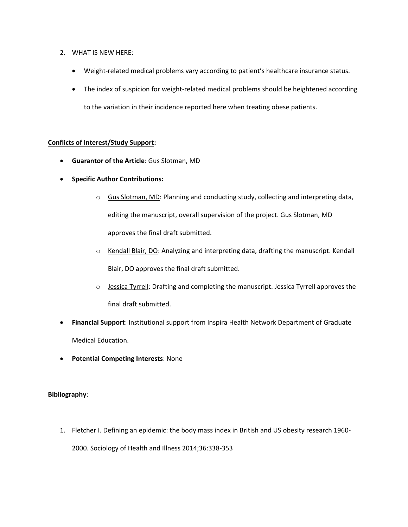## 2. WHAT IS NEW HERE:

- Weight-related medical problems vary according to patient's healthcare insurance status.
- The index of suspicion for weight-related medical problems should be heightened according to the variation in their incidence reported here when treating obese patients.

## **Conflicts of Interest/Study Support:**

- **Guarantor of the Article**: Gus Slotman, MD
- **Specific Author Contributions:**
	- o Gus Slotman, MD: Planning and conducting study, collecting and interpreting data, editing the manuscript, overall supervision of the project. Gus Slotman, MD approves the final draft submitted.
	- $\circ$  Kendall Blair, DO: Analyzing and interpreting data, drafting the manuscript. Kendall Blair, DO approves the final draft submitted.
	- $\circ$  Jessica Tyrrell: Drafting and completing the manuscript. Jessica Tyrrell approves the final draft submitted.
- **Financial Support**: Institutional support from Inspira Health Network Department of Graduate Medical Education.
- **Potential Competing Interests**: None

# **Bibliography**:

1. Fletcher I. Defining an epidemic: the body mass index in British and US obesity research 1960- 2000. Sociology of Health and Illness 2014;36:338-353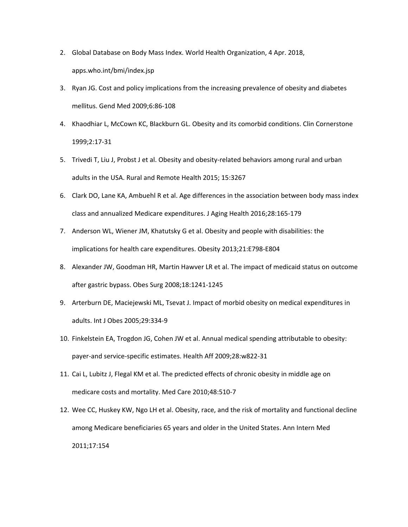- 2. Global Database on Body Mass Index. World Health Organization, 4 Apr. 2018, apps.who.int/bmi/index.jsp
- 3. Ryan JG. Cost and policy implications from the increasing prevalence of obesity and diabetes mellitus. Gend Med 2009;6:86-108
- 4. Khaodhiar L, McCown KC, Blackburn GL. Obesity and its comorbid conditions. Clin Cornerstone 1999;2:17-31
- 5. Trivedi T, Liu J, Probst J et al. Obesity and obesity-related behaviors among rural and urban adults in the USA. Rural and Remote Health 2015; 15:3267
- 6. Clark DO, Lane KA, Ambuehl R et al. Age differences in the association between body mass index class and annualized Medicare expenditures. J Aging Health 2016;28:165-179
- 7. Anderson WL, Wiener JM, Khatutsky G et al. Obesity and people with disabilities: the implications for health care expenditures. Obesity 2013;21:E798-E804
- 8. Alexander JW, Goodman HR, Martin Hawver LR et al. The impact of medicaid status on outcome after gastric bypass. Obes Surg 2008;18:1241-1245
- 9. Arterburn DE, Maciejewski ML, Tsevat J. Impact of morbid obesity on medical expenditures in adults. Int J Obes 2005;29:334-9
- 10. Finkelstein EA, Trogdon JG, Cohen JW et al. Annual medical spending attributable to obesity: payer-and service-specific estimates. Health Aff 2009;28:w822-31
- 11. Cai L, Lubitz J, Flegal KM et al. The predicted effects of chronic obesity in middle age on medicare costs and mortality. Med Care 2010;48:510-7
- 12. Wee CC, Huskey KW, Ngo LH et al. Obesity, race, and the risk of mortality and functional decline among Medicare beneficiaries 65 years and older in the United States. Ann Intern Med 2011;17:154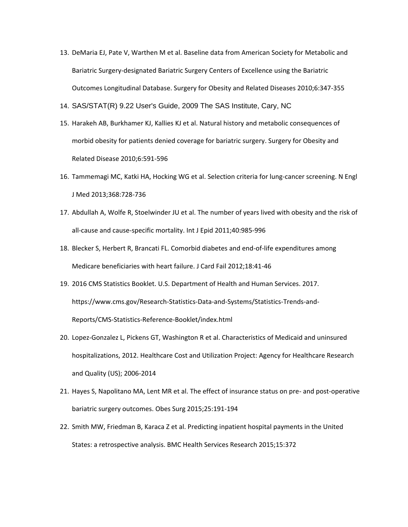- 13. DeMaria EJ, Pate V, Warthen M et al. Baseline data from American Society for Metabolic and Bariatric Surgery-designated Bariatric Surgery Centers of Excellence using the Bariatric Outcomes Longitudinal Database. Surgery for Obesity and Related Diseases 2010;6:347-355
- 14. SAS/STAT(R) 9.22 User's Guide, 2009 The SAS Institute, Cary, NC
- 15. Harakeh AB, Burkhamer KJ, Kallies KJ et al. Natural history and metabolic consequences of morbid obesity for patients denied coverage for bariatric surgery. Surgery for Obesity and Related Disease 2010;6:591-596
- 16. Tammemagi MC, Katki HA, Hocking WG et al. Selection criteria for lung-cancer screening. N Engl J Med 2013;368:728-736
- 17. Abdullah A, Wolfe R, Stoelwinder JU et al. The number of years lived with obesity and the risk of all-cause and cause-specific mortality. Int J Epid 2011;40:985-996
- 18. Blecker S, Herbert R, Brancati FL. Comorbid diabetes and end-of-life expenditures among Medicare beneficiaries with heart failure. J Card Fail 2012;18:41-46
- 19. 2016 CMS Statistics Booklet. U.S. Department of Health and Human Services. 2017. https://www.cms.gov/Research-Statistics-Data-and-Systems/Statistics-Trends-and-Reports/CMS-Statistics-Reference-Booklet/index.html
- 20. Lopez-Gonzalez L, Pickens GT, Washington R et al. Characteristics of Medicaid and uninsured hospitalizations, 2012. Healthcare Cost and Utilization Project: Agency for Healthcare Research and Quality (US); 2006-2014
- 21. Hayes S, Napolitano MA, Lent MR et al. The effect of insurance status on pre- and post-operative bariatric surgery outcomes. Obes Surg 2015;25:191-194
- 22. Smith MW, Friedman B, Karaca Z et al. Predicting inpatient hospital payments in the United States: a retrospective analysis. BMC Health Services Research 2015;15:372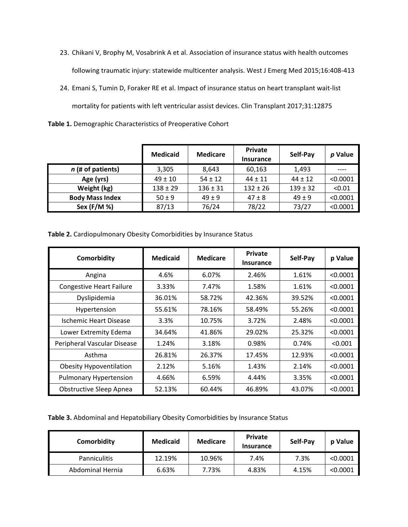- 23. Chikani V, Brophy M, Vosabrink A et al. Association of insurance status with health outcomes following traumatic injury: statewide multicenter analysis. West J Emerg Med 2015;16:408-413
- 24. Emani S, Tumin D, Foraker RE et al. Impact of insurance status on heart transplant wait-list mortality for patients with left ventricular assist devices. Clin Transplant 2017;31:12875

| Table 1. Demographic Characteristics of Preoperative Cohort |  |
|-------------------------------------------------------------|--|
|-------------------------------------------------------------|--|

|                        | <b>Medicaid</b> | <b>Medicare</b> | <b>Private</b><br><b>Insurance</b> | Self-Pay     | p Value  |
|------------------------|-----------------|-----------------|------------------------------------|--------------|----------|
| $n$ (# of patients)    | 3,305           | 8,643           | 60,163                             | 1,493        |          |
| Age (yrs)              | $49 \pm 10$     | $54 \pm 12$     | $44 \pm 11$                        | $44 \pm 12$  | < 0.0001 |
| Weight (kg)            | $138 \pm 29$    | $136 \pm 31$    | $132 \pm 26$                       | $139 \pm 32$ | < 0.01   |
| <b>Body Mass Index</b> | $50 \pm 9$      | $49 \pm 9$      | $47 \pm 8$                         | $49 \pm 9$   | < 0.0001 |
| Sex (F/M %)            | 87/13           | 76/24           | 78/22                              | 73/27        | < 0.0001 |

**Table 2.** Cardiopulmonary Obesity Comorbidities by Insurance Status

| Comorbidity                     | <b>Medicaid</b> | <b>Medicare</b> | <b>Private</b><br><b>Insurance</b> | Self-Pay | p Value  |
|---------------------------------|-----------------|-----------------|------------------------------------|----------|----------|
| Angina                          | 4.6%            | 6.07%           | 2.46%                              | 1.61%    | < 0.0001 |
| <b>Congestive Heart Failure</b> | 3.33%           | 7.47%           | 1.58%                              | 1.61%    | < 0.0001 |
| Dyslipidemia                    | 36.01%          | 58.72%          | 42.36%                             | 39.52%   | < 0.0001 |
| Hypertension                    | 55.61%          | 78.16%          | 58.49%                             | 55.26%   | < 0.0001 |
| Ischemic Heart Disease          | 3.3%            | 10.75%          | 3.72%                              | 2.48%    | < 0.0001 |
| Lower Extremity Edema           | 34.64%          | 41.86%          | 29.02%                             | 25.32%   | < 0.0001 |
| Peripheral Vascular Disease     | 1.24%           | 3.18%           | 0.98%                              | 0.74%    | < 0.001  |
| Asthma                          | 26.81%          | 26.37%          | 17.45%                             | 12.93%   | < 0.0001 |
| <b>Obesity Hypoventilation</b>  | 2.12%           | 5.16%           | 1.43%                              | 2.14%    | < 0.0001 |
| <b>Pulmonary Hypertension</b>   | 4.66%           | 6.59%           | 4.44%                              | 3.35%    | < 0.0001 |
| <b>Obstructive Sleep Apnea</b>  | 52.13%          | 60.44%          | 46.89%                             | 43.07%   | < 0.0001 |

**Table 3.** Abdominal and Hepatobiliary Obesity Comorbidities by Insurance Status

| Comorbidity         | <b>Medicaid</b> | <b>Medicare</b> | <b>Private</b><br>Insurance | Self-Pay | <b>p</b> Value |
|---------------------|-----------------|-----------------|-----------------------------|----------|----------------|
| <b>Panniculitis</b> | 12.19%          | 10.96%          | 7.4%                        | 7.3%     | < 0.0001       |
| Abdominal Hernia    | 6.63%           | 7.73%           | 4.83%                       | 4.15%    | < 0.0001       |